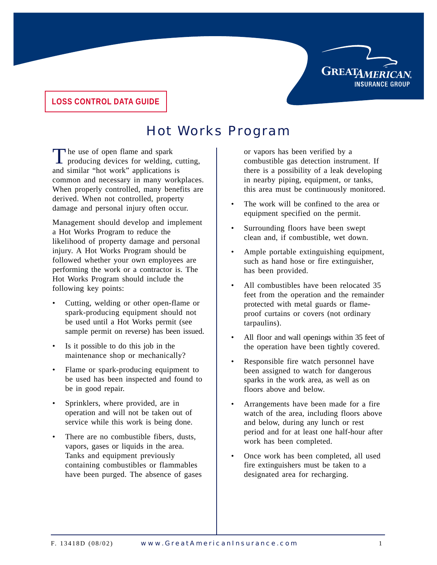

#### **LOSS CONTROL DATA GUIDE**

# Hot Works Program

The use of open flame and spark<br>producing devices for welding, cutting, and similar "hot work" applications is common and necessary in many workplaces. When properly controlled, many benefits are derived. When not controlled, property damage and personal injury often occur.

Management should develop and implement a Hot Works Program to reduce the likelihood of property damage and personal injury. A Hot Works Program should be followed whether your own employees are performing the work or a contractor is. The Hot Works Program should include the following key points:

- Cutting, welding or other open-flame or spark-producing equipment should not be used until a Hot Works permit (see sample permit on reverse) has been issued.
- Is it possible to do this job in the maintenance shop or mechanically?
- Flame or spark-producing equipment to be used has been inspected and found to be in good repair.
- Sprinklers, where provided, are in operation and will not be taken out of service while this work is being done.
- There are no combustible fibers, dusts, vapors, gases or liquids in the area. Tanks and equipment previously containing combustibles or flammables have been purged. The absence of gases

or vapors has been verified by a combustible gas detection instrument. If there is a possibility of a leak developing in nearby piping, equipment, or tanks, this area must be continuously monitored.

- The work will be confined to the area or equipment specified on the permit.
- Surrounding floors have been swept clean and, if combustible, wet down.
- Ample portable extinguishing equipment, such as hand hose or fire extinguisher, has been provided.
- All combustibles have been relocated 35 feet from the operation and the remainder protected with metal guards or flameproof curtains or covers (not ordinary tarpaulins).
- All floor and wall openings within 35 feet of the operation have been tightly covered.
- Responsible fire watch personnel have been assigned to watch for dangerous sparks in the work area, as well as on floors above and below.
- Arrangements have been made for a fire watch of the area, including floors above and below, during any lunch or rest period and for at least one half-hour after work has been completed.
- Once work has been completed, all used fire extinguishers must be taken to a designated area for recharging.